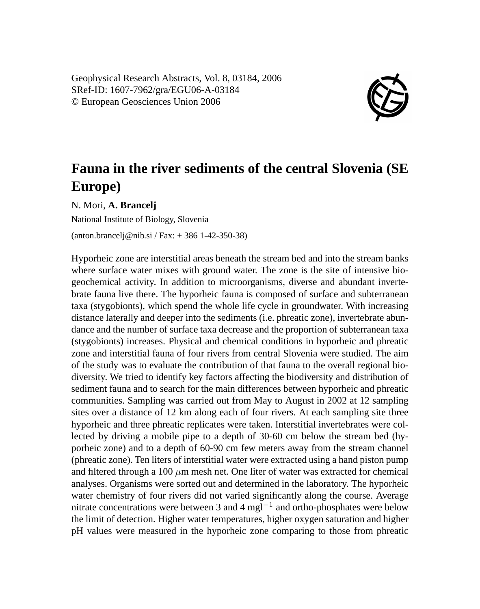Geophysical Research Abstracts, Vol. 8, 03184, 2006 SRef-ID: 1607-7962/gra/EGU06-A-03184 © European Geosciences Union 2006



## **Fauna in the river sediments of the central Slovenia (SE Europe)**

N. Mori, **A. Brancelj**

National Institute of Biology, Slovenia

(anton.brancelj@nib.si / Fax: + 386 1-42-350-38)

Hyporheic zone are interstitial areas beneath the stream bed and into the stream banks where surface water mixes with ground water. The zone is the site of intensive biogeochemical activity. In addition to microorganisms, diverse and abundant invertebrate fauna live there. The hyporheic fauna is composed of surface and subterranean taxa (stygobionts), which spend the whole life cycle in groundwater. With increasing distance laterally and deeper into the sediments (i.e. phreatic zone), invertebrate abundance and the number of surface taxa decrease and the proportion of subterranean taxa (stygobionts) increases. Physical and chemical conditions in hyporheic and phreatic zone and interstitial fauna of four rivers from central Slovenia were studied. The aim of the study was to evaluate the contribution of that fauna to the overall regional biodiversity. We tried to identify key factors affecting the biodiversity and distribution of sediment fauna and to search for the main differences between hyporheic and phreatic communities. Sampling was carried out from May to August in 2002 at 12 sampling sites over a distance of 12 km along each of four rivers. At each sampling site three hyporheic and three phreatic replicates were taken. Interstitial invertebrates were collected by driving a mobile pipe to a depth of 30-60 cm below the stream bed (hyporheic zone) and to a depth of 60-90 cm few meters away from the stream channel (phreatic zone). Ten liters of interstitial water were extracted using a hand piston pump and filtered through a 100  $\mu$ m mesh net. One liter of water was extracted for chemical analyses. Organisms were sorted out and determined in the laboratory. The hyporheic water chemistry of four rivers did not varied significantly along the course. Average nitrate concentrations were between 3 and 4 mgl<sup>-1</sup> and ortho-phosphates were below the limit of detection. Higher water temperatures, higher oxygen saturation and higher pH values were measured in the hyporheic zone comparing to those from phreatic